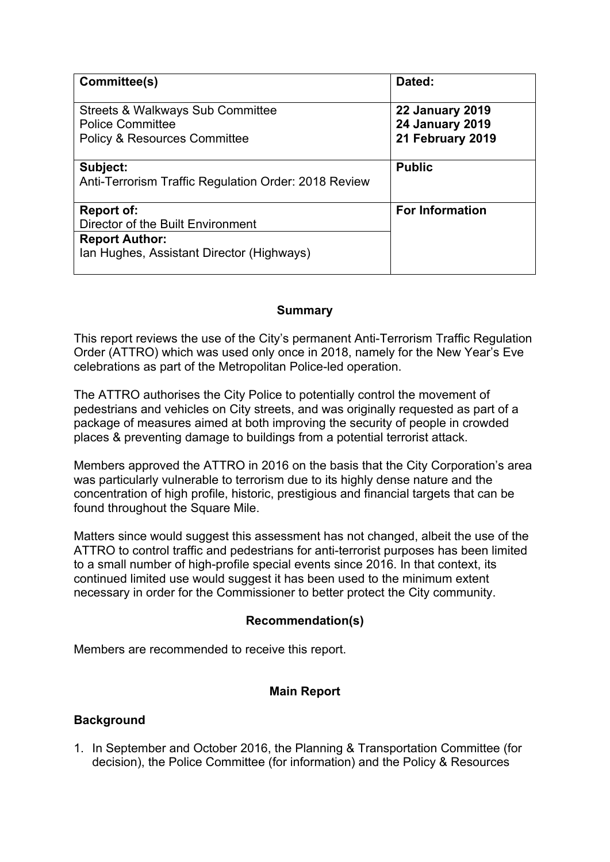| Committee(s)                                                           | Dated:                                           |  |
|------------------------------------------------------------------------|--------------------------------------------------|--|
| <b>Streets &amp; Walkways Sub Committee</b><br><b>Police Committee</b> | <b>22 January 2019</b><br><b>24 January 2019</b> |  |
| <b>Policy &amp; Resources Committee</b>                                | 21 February 2019                                 |  |
| Subject:                                                               | <b>Public</b>                                    |  |
| Anti-Terrorism Traffic Regulation Order: 2018 Review                   |                                                  |  |
| <b>For Information</b><br>Report of:                                   |                                                  |  |
| Director of the Built Environment                                      |                                                  |  |
| <b>Report Author:</b>                                                  |                                                  |  |
| Ian Hughes, Assistant Director (Highways)                              |                                                  |  |

#### **Summary**

This report reviews the use of the City's permanent Anti-Terrorism Traffic Regulation Order (ATTRO) which was used only once in 2018, namely for the New Year's Eve celebrations as part of the Metropolitan Police-led operation.

The ATTRO authorises the City Police to potentially control the movement of pedestrians and vehicles on City streets, and was originally requested as part of a package of measures aimed at both improving the security of people in crowded places & preventing damage to buildings from a potential terrorist attack.

Members approved the ATTRO in 2016 on the basis that the City Corporation's area was particularly vulnerable to terrorism due to its highly dense nature and the concentration of high profile, historic, prestigious and financial targets that can be found throughout the Square Mile.

Matters since would suggest this assessment has not changed, albeit the use of the ATTRO to control traffic and pedestrians for anti-terrorist purposes has been limited to a small number of high-profile special events since 2016. In that context, its continued limited use would suggest it has been used to the minimum extent necessary in order for the Commissioner to better protect the City community.

## **Recommendation(s)**

Members are recommended to receive this report.

## **Main Report**

## **Background**

1. In September and October 2016, the Planning & Transportation Committee (for decision), the Police Committee (for information) and the Policy & Resources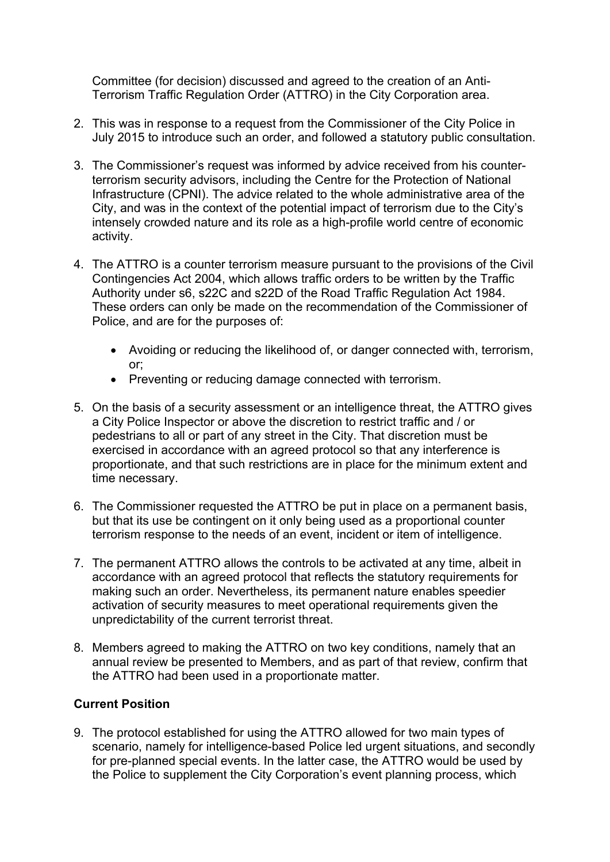Committee (for decision) discussed and agreed to the creation of an Anti-Terrorism Traffic Regulation Order (ATTRO) in the City Corporation area.

- 2. This was in response to a request from the Commissioner of the City Police in July 2015 to introduce such an order, and followed a statutory public consultation.
- 3. The Commissioner's request was informed by advice received from his counterterrorism security advisors, including the Centre for the Protection of National Infrastructure (CPNI). The advice related to the whole administrative area of the City, and was in the context of the potential impact of terrorism due to the City's intensely crowded nature and its role as a high-profile world centre of economic activity.
- 4. The ATTRO is a counter terrorism measure pursuant to the provisions of the Civil Contingencies Act 2004, which allows traffic orders to be written by the Traffic Authority under s6, s22C and s22D of the Road Traffic Regulation Act 1984. These orders can only be made on the recommendation of the Commissioner of Police, and are for the purposes of:
	- Avoiding or reducing the likelihood of, or danger connected with, terrorism, or;
	- Preventing or reducing damage connected with terrorism.
- 5. On the basis of a security assessment or an intelligence threat, the ATTRO gives a City Police Inspector or above the discretion to restrict traffic and / or pedestrians to all or part of any street in the City. That discretion must be exercised in accordance with an agreed protocol so that any interference is proportionate, and that such restrictions are in place for the minimum extent and time necessary.
- 6. The Commissioner requested the ATTRO be put in place on a permanent basis, but that its use be contingent on it only being used as a proportional counter terrorism response to the needs of an event, incident or item of intelligence.
- 7. The permanent ATTRO allows the controls to be activated at any time, albeit in accordance with an agreed protocol that reflects the statutory requirements for making such an order. Nevertheless, its permanent nature enables speedier activation of security measures to meet operational requirements given the unpredictability of the current terrorist threat.
- 8. Members agreed to making the ATTRO on two key conditions, namely that an annual review be presented to Members, and as part of that review, confirm that the ATTRO had been used in a proportionate matter.

## **Current Position**

9. The protocol established for using the ATTRO allowed for two main types of scenario, namely for intelligence-based Police led urgent situations, and secondly for pre-planned special events. In the latter case, the ATTRO would be used by the Police to supplement the City Corporation's event planning process, which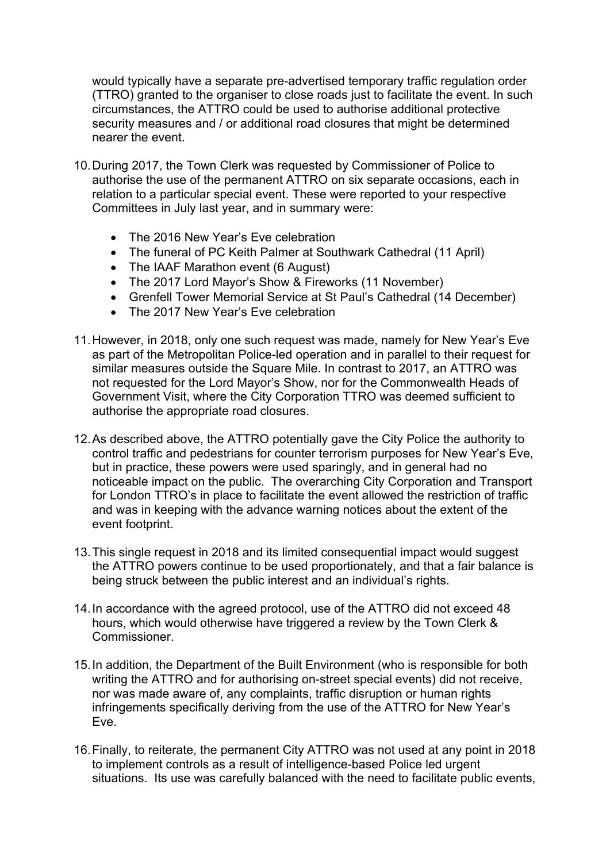would typically have a separate pre-advertised temporary traffic regulation order (TTRO) granted to the organiser to close roads just to facilitate the event. In such circumstances, the ATTRO could be used to authorise additional protective security measures and / or additional road closures that might be determined nearer the event.

- 10.During 2017, the Town Clerk was requested by Commissioner of Police to authorise the use of the permanent ATTRO on six separate occasions, each in relation to a particular special event. These were reported to your respective Committees in July last year, and in summary were:
	- The 2016 New Year's Eve celebration
	- The funeral of PC Keith Palmer at Southwark Cathedral (11 April)
	- The IAAF Marathon event (6 August)
	- The 2017 Lord Mayor's Show & Fireworks (11 November)
	- Grenfell Tower Memorial Service at St Paul's Cathedral (14 December)
	- The 2017 New Year's Eve celebration
- 11.However, in 2018, only one such request was made, namely for New Year's Eve as part of the Metropolitan Police-led operation and in parallel to their request for similar measures outside the Square Mile. In contrast to 2017, an ATTRO was not requested for the Lord Mayor's Show, nor for the Commonwealth Heads of Government Visit, where the City Corporation TTRO was deemed sufficient to authorise the appropriate road closures.
- 12.As described above, the ATTRO potentially gave the City Police the authority to control traffic and pedestrians for counter terrorism purposes for New Year's Eve, but in practice, these powers were used sparingly, and in general had no noticeable impact on the public. The overarching City Corporation and Transport for London TTRO's in place to facilitate the event allowed the restriction of traffic and was in keeping with the advance warning notices about the extent of the event footprint.
- 13.This single request in 2018 and its limited consequential impact would suggest the ATTRO powers continue to be used proportionately, and that a fair balance is being struck between the public interest and an individual's rights.
- 14.In accordance with the agreed protocol, use of the ATTRO did not exceed 48 hours, which would otherwise have triggered a review by the Town Clerk & Commissioner.
- 15.In addition, the Department of the Built Environment (who is responsible for both writing the ATTRO and for authorising on-street special events) did not receive, nor was made aware of, any complaints, traffic disruption or human rights infringements specifically deriving from the use of the ATTRO for New Year's Eve.
- 16.Finally, to reiterate, the permanent City ATTRO was not used at any point in 2018 to implement controls as a result of intelligence-based Police led urgent situations. Its use was carefully balanced with the need to facilitate public events,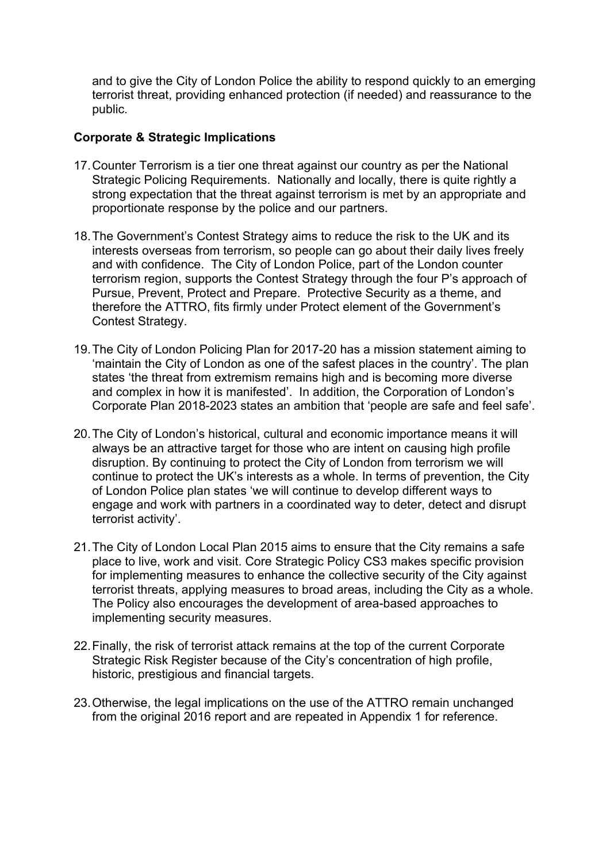and to give the City of London Police the ability to respond quickly to an emerging terrorist threat, providing enhanced protection (if needed) and reassurance to the public.

## **Corporate & Strategic Implications**

- 17.Counter Terrorism is a tier one threat against our country as per the National Strategic Policing Requirements. Nationally and locally, there is quite rightly a strong expectation that the threat against terrorism is met by an appropriate and proportionate response by the police and our partners.
- 18.The Government's Contest Strategy aims to reduce the risk to the UK and its interests overseas from terrorism, so people can go about their daily lives freely and with confidence. The City of London Police, part of the London counter terrorism region, supports the Contest Strategy through the four P's approach of Pursue, Prevent, Protect and Prepare. Protective Security as a theme, and therefore the ATTRO, fits firmly under Protect element of the Government's Contest Strategy.
- 19.The City of London Policing Plan for 2017-20 has a mission statement aiming to 'maintain the City of London as one of the safest places in the country'. The plan states 'the threat from extremism remains high and is becoming more diverse and complex in how it is manifested'. In addition, the Corporation of London's Corporate Plan 2018-2023 states an ambition that 'people are safe and feel safe'.
- 20.The City of London's historical, cultural and economic importance means it will always be an attractive target for those who are intent on causing high profile disruption. By continuing to protect the City of London from terrorism we will continue to protect the UK's interests as a whole. In terms of prevention, the City of London Police plan states 'we will continue to develop different ways to engage and work with partners in a coordinated way to deter, detect and disrupt terrorist activity'.
- 21.The City of London Local Plan 2015 aims to ensure that the City remains a safe place to live, work and visit. Core Strategic Policy CS3 makes specific provision for implementing measures to enhance the collective security of the City against terrorist threats, applying measures to broad areas, including the City as a whole. The Policy also encourages the development of area-based approaches to implementing security measures.
- 22.Finally, the risk of terrorist attack remains at the top of the current Corporate Strategic Risk Register because of the City's concentration of high profile, historic, prestigious and financial targets.
- 23.Otherwise, the legal implications on the use of the ATTRO remain unchanged from the original 2016 report and are repeated in Appendix 1 for reference.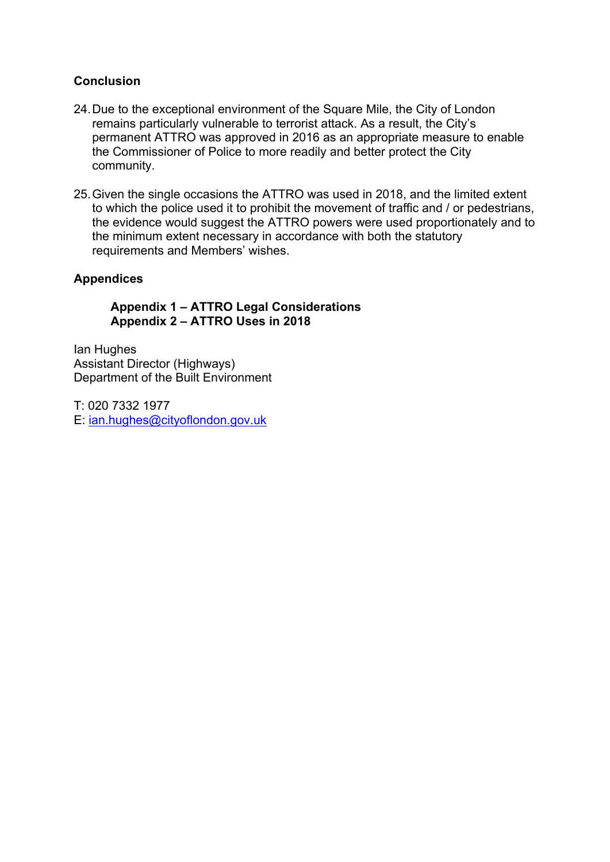## **Conclusion**

- 24.Due to the exceptional environment of the Square Mile, the City of London remains particularly vulnerable to terrorist attack. As a result, the City's permanent ATTRO was approved in 2016 as an appropriate measure to enable the Commissioner of Police to more readily and better protect the City community.
- 25.Given the single occasions the ATTRO was used in 2018, and the limited extent to which the police used it to prohibit the movement of traffic and / or pedestrians, the evidence would suggest the ATTRO powers were used proportionately and to the minimum extent necessary in accordance with both the statutory requirements and Members' wishes.

## **Appendices**

## **Appendix 1 – ATTRO Legal Considerations Appendix 2 – ATTRO Uses in 2018**

Ian Hughes Assistant Director (Highways) Department of the Built Environment

T: 020 7332 1977 E: [ian.hughes@cityoflondon.gov.uk](mailto:ian.hughes@cityoflondon.gov.uk)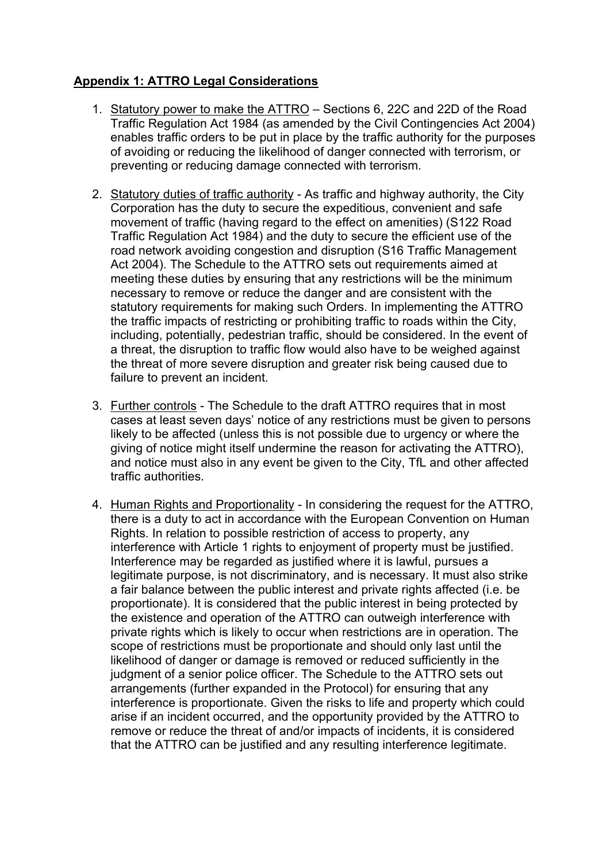## **Appendix 1: ATTRO Legal Considerations**

- 1. Statutory power to make the ATTRO Sections 6, 22C and 22D of the Road Traffic Regulation Act 1984 (as amended by the Civil Contingencies Act 2004) enables traffic orders to be put in place by the traffic authority for the purposes of avoiding or reducing the likelihood of danger connected with terrorism, or preventing or reducing damage connected with terrorism.
- 2. Statutory duties of traffic authority As traffic and highway authority, the City Corporation has the duty to secure the expeditious, convenient and safe movement of traffic (having regard to the effect on amenities) (S122 Road Traffic Regulation Act 1984) and the duty to secure the efficient use of the road network avoiding congestion and disruption (S16 Traffic Management Act 2004). The Schedule to the ATTRO sets out requirements aimed at meeting these duties by ensuring that any restrictions will be the minimum necessary to remove or reduce the danger and are consistent with the statutory requirements for making such Orders. In implementing the ATTRO the traffic impacts of restricting or prohibiting traffic to roads within the City, including, potentially, pedestrian traffic, should be considered. In the event of a threat, the disruption to traffic flow would also have to be weighed against the threat of more severe disruption and greater risk being caused due to failure to prevent an incident.
- 3. Further controls The Schedule to the draft ATTRO requires that in most cases at least seven days' notice of any restrictions must be given to persons likely to be affected (unless this is not possible due to urgency or where the giving of notice might itself undermine the reason for activating the ATTRO), and notice must also in any event be given to the City, TfL and other affected traffic authorities.
- 4. Human Rights and Proportionality In considering the request for the ATTRO, there is a duty to act in accordance with the European Convention on Human Rights. In relation to possible restriction of access to property, any interference with Article 1 rights to enjoyment of property must be justified. Interference may be regarded as justified where it is lawful, pursues a legitimate purpose, is not discriminatory, and is necessary. It must also strike a fair balance between the public interest and private rights affected (i.e. be proportionate). It is considered that the public interest in being protected by the existence and operation of the ATTRO can outweigh interference with private rights which is likely to occur when restrictions are in operation. The scope of restrictions must be proportionate and should only last until the likelihood of danger or damage is removed or reduced sufficiently in the judgment of a senior police officer. The Schedule to the ATTRO sets out arrangements (further expanded in the Protocol) for ensuring that any interference is proportionate. Given the risks to life and property which could arise if an incident occurred, and the opportunity provided by the ATTRO to remove or reduce the threat of and/or impacts of incidents, it is considered that the ATTRO can be justified and any resulting interference legitimate.